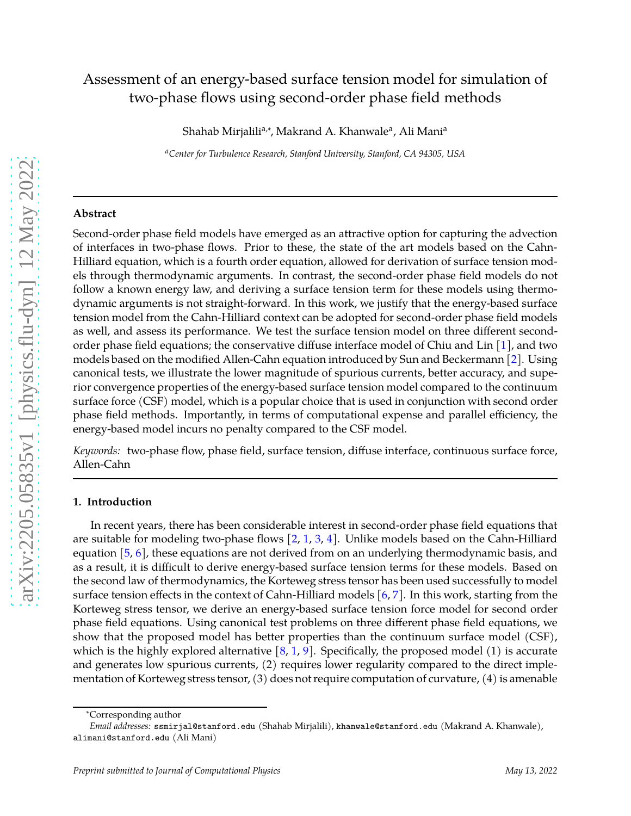# Assessment of an energy-based surface tension model for simulation of two-phase flows using second-order phase field methods

Shahab Mirjalili<sup>a,∗</sup>, Makrand A. Khanwale<sup>a</sup>, Ali Mani<sup>a</sup>

*<sup>a</sup>Center for Turbulence Research, Stanford University, Stanford, CA 94305, USA*

#### **Abstract**

Second-order phase field models have emerged as an attractive option for capturing the advection of interfaces in two-phase flows. Prior to these, the state of the art models based on the Cahn-Hilliard equation, which is a fourth order equation, allowed for derivation of surface tension models through thermodynamic arguments. In contrast, the second-order phase field models do not follow a known energy law, and deriving a surface tension term for these models using thermodynamic arguments is not straight-forward. In this work, we justify that the energy-based surface tension model from the Cahn-Hilliard context can be adopted for second-order phase field models as well, and assess its performance. We test the surface tension model on three different secondorder phase field equations; the conservative diffuse interface model of Chiu and Lin [\[1\]](#page-8-0), and two models based on the modified Allen-Cahn equation introduced by Sun and Beckermann [\[2\]](#page-8-1). Using canonical tests, we illustrate the lower magnitude of spurious currents, better accuracy, and superior convergence properties of the energy-based surface tension model compared to the continuum surface force (CSF) model, which is a popular choice that is used in conjunction with second order phase field methods. Importantly, in terms of computational expense and parallel efficiency, the energy-based model incurs no penalty compared to the CSF model.

*Keywords:* two-phase flow, phase field, surface tension, diffuse interface, continuous surface force, Allen-Cahn

# **1. Introduction**

In recent years, there has been considerable interest in second-order phase field equations that are suitable for modeling two-phase flows [\[2,](#page-8-1) [1](#page-8-0), [3](#page-8-2), [4\]](#page-8-3). Unlike models based on the Cahn-Hilliard equation [\[5](#page-8-4), [6](#page-8-5)], these equations are not derived from on an underlying thermodynamic basis, and as a result, it is difficult to derive energy-based surface tension terms for these models. Based on the second law of thermodynamics, the Korteweg stress tensor has been used successfully to model surface tension effects in the context of Cahn-Hilliard models [\[6](#page-8-5),[7\]](#page-9-0). In this work, starting from the Korteweg stress tensor, we derive an energy-based surface tension force model for second order phase field equations. Using canonical test problems on three different phase field equations, we show that the proposed model has better properties than the continuum surface model (CSF), which is the highly explored alternative  $[8, 1, 9]$  $[8, 1, 9]$  $[8, 1, 9]$  $[8, 1, 9]$ . Specifically, the proposed model (1) is accurate and generates low spurious currents, (2) requires lower regularity compared to the direct implementation of Korteweg stress tensor, (3) does not require computation of curvature, (4) is amenable

<sup>∗</sup>Corresponding author

*Email addresses:* ssmirjal@stanford.edu (Shahab Mirjalili), khanwale@stanford.edu (Makrand A. Khanwale), alimani@stanford.edu (Ali Mani)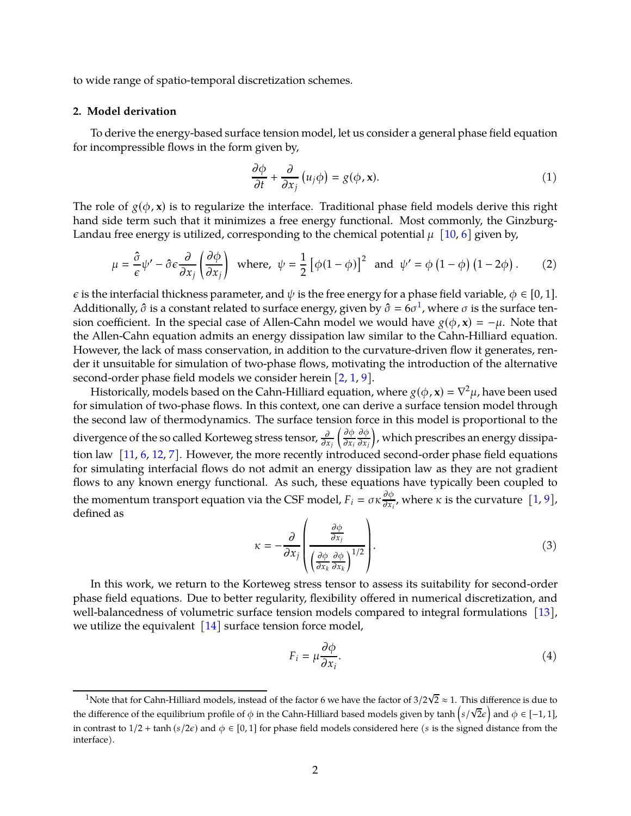to wide range of spatio-temporal discretization schemes.

#### **2. Model derivation**

To derive the energy-based surface tension model, let us consider a general phase field equation for incompressible flows in the form given by,

<span id="page-1-1"></span>
$$
\frac{\partial \phi}{\partial t} + \frac{\partial}{\partial x_j} \left( u_j \phi \right) = g(\phi, \mathbf{x}). \tag{1}
$$

The role of  $g(\phi, x)$  is to regularize the interface. Traditional phase field models derive this right hand side term such that it minimizes a free energy functional. Most commonly, the Ginzburg-Landau free energy is utilized, corresponding to the chemical potential  $\mu$  [\[10](#page-9-3), [6](#page-8-5)] given by,

$$
\mu = \frac{\hat{\sigma}}{\epsilon} \psi' - \hat{\sigma} \epsilon \frac{\partial}{\partial x_j} \left( \frac{\partial \phi}{\partial x_j} \right) \text{ where, } \psi = \frac{1}{2} \left[ \phi(1 - \phi) \right]^2 \text{ and } \psi' = \phi \left( 1 - \phi \right) \left( 1 - 2\phi \right). \tag{2}
$$

 $\epsilon$  is the interfacial thickness parameter, and  $\psi$  is the free energy for a phase field variable,  $\phi \in [0, 1]$ . Additionally,  $\hat{\sigma}$  is a constant related to surface energy, given by  $\hat{\sigma} = 6\sigma^1$  $\hat{\sigma} = 6\sigma^1$ , where  $\sigma$  is the surface tension coefficient. In the special case of Allen-Cahn model we would have  $g(\phi, \mathbf{x}) = -\mu$ . Note that the Allen-Cahn equation admits an energy dissipation law similar to the Cahn-Hilliard equation. However, the lack of mass conservation, in addition to the curvature-driven flow it generates, render it unsuitable for simulation of two-phase flows, motivating the introduction of the alternative second-order phase field models we consider herein  $[2, 1, 9]$  $[2, 1, 9]$  $[2, 1, 9]$  $[2, 1, 9]$  $[2, 1, 9]$ .

Historically, models based on the Cahn-Hilliard equation, where  $g(\phi, \mathbf{x}) = \nabla^2 \mu$ , have been used for simulation of two-phase flows. In this context, one can derive a surface tension model through the second law of thermodynamics. The surface tension force in this model is proportional to the divergence of the so called Korteweg stress tensor,  $\frac{\partial}{\partial x_j}$  $\int \partial \phi$  $\partial x_i$ дφ  $\partial x_j$  $\overline{ }$ , which prescribes an energy dissipation law [\[11](#page-9-4), [6](#page-8-5), [12](#page-9-5), [7](#page-9-0)]. However, the more recently introduced second-order phase field equations for simulating interfacial flows do not admit an energy dissipation law as they are not gradient flows to any known energy functional. As such, these equations have typically been coupled to the momentum transport equation via the CSF model,  $F_i = \sigma \kappa \frac{\partial \phi}{\partial x_i}$  $\frac{\partial \varphi}{\partial x_i}$ , where  $\kappa$  is the curvature  $[1, 9]$  $[1, 9]$ , defined as

$$
\kappa = -\frac{\partial}{\partial x_j} \left( \frac{\frac{\partial \phi}{\partial x_j}}{\left( \frac{\partial \phi}{\partial x_k} \frac{\partial \phi}{\partial x_k} \right)^{1/2}} \right).
$$
(3)

In this work, we return to the Korteweg stress tensor to assess its suitability for second-order phase field equations. Due to better regularity, flexibility offered in numerical discretization, and well-balancedness of volumetric surface tension models compared to integral formulations [\[13\]](#page-9-6), we utilize the equivalent  $\left[14\right]$  surface tension force model,

<span id="page-1-2"></span>
$$
F_i = \mu \frac{\partial \phi}{\partial x_i}.
$$
 (4)

<span id="page-1-0"></span><sup>&</sup>lt;sup>1</sup>Note that for Cahn-Hilliard models, instead of the factor 6 we have the factor of  $3/2\sqrt{2} \approx 1$ . This difference is due to the difference of the equilibrium profile of  $\phi$  in the Cahn-Hilliard based models given by  $\tanh\left(s/\sqrt{2\epsilon}\right)$  and  $\phi \in [-1, 1]$ , in contrast to  $1/2$  + tanh (s/2 $\epsilon$ ) and  $\phi \in [0, 1]$  for phase field models considered here (s is the signed distance from the interface).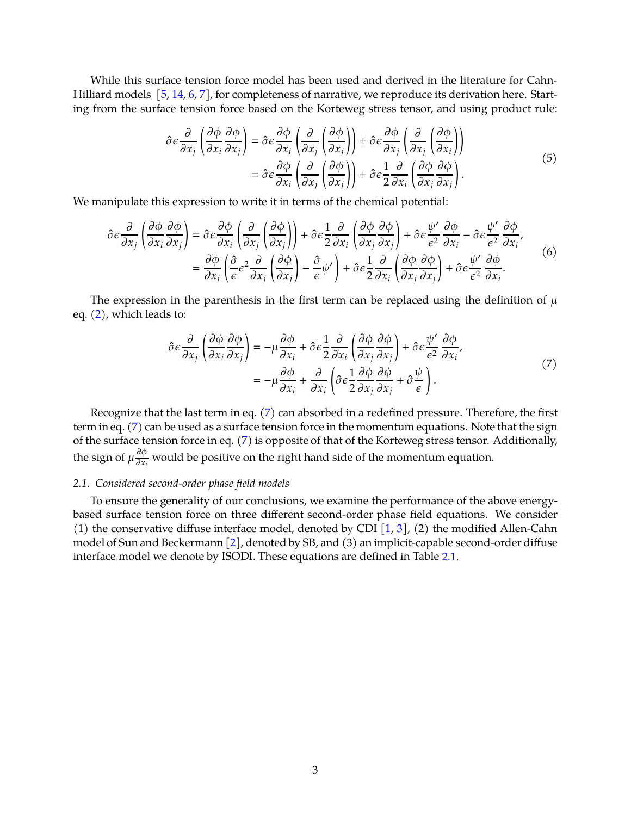While this surface tension force model has been used and derived in the literature for Cahn-Hilliard models [\[5,](#page-8-4) [14,](#page-9-7) [6](#page-8-5), [7](#page-9-0)], for completeness of narrative, we reproduce its derivation here. Starting from the surface tension force based on the Korteweg stress tensor, and using product rule:

$$
\hat{\sigma}\varepsilon\frac{\partial}{\partial x_j}\left(\frac{\partial\phi}{\partial x_i}\frac{\partial\phi}{\partial x_j}\right) = \hat{\sigma}\varepsilon\frac{\partial\phi}{\partial x_i}\left(\frac{\partial}{\partial x_j}\left(\frac{\partial\phi}{\partial x_j}\right)\right) + \hat{\sigma}\varepsilon\frac{\partial\phi}{\partial x_j}\left(\frac{\partial}{\partial x_j}\left(\frac{\partial\phi}{\partial x_i}\right)\right) \n= \hat{\sigma}\varepsilon\frac{\partial\phi}{\partial x_i}\left(\frac{\partial}{\partial x_j}\left(\frac{\partial\phi}{\partial x_j}\right)\right) + \hat{\sigma}\varepsilon\frac{1}{2}\frac{\partial}{\partial x_i}\left(\frac{\partial\phi}{\partial x_j}\frac{\partial\phi}{\partial x_j}\right).
$$
\n(5)

We manipulate this expression to write it in terms of the chemical potential:

$$
\hat{\sigma}\epsilon \frac{\partial}{\partial x_j} \left( \frac{\partial \phi}{\partial x_i} \frac{\partial \phi}{\partial x_j} \right) = \hat{\sigma}\epsilon \frac{\partial \phi}{\partial x_i} \left( \frac{\partial}{\partial x_j} \left( \frac{\partial \phi}{\partial x_j} \right) \right) + \hat{\sigma}\epsilon \frac{1}{2} \frac{\partial}{\partial x_i} \left( \frac{\partial \phi}{\partial x_j} \frac{\partial \phi}{\partial x_j} \right) + \hat{\sigma}\epsilon \frac{\psi'}{\epsilon^2} \frac{\partial \phi}{\partial x_i} - \hat{\sigma}\epsilon \frac{\psi'}{\epsilon^2} \frac{\partial \phi}{\partial x_i},
$$
\n
$$
= \frac{\partial \phi}{\partial x_i} \left( \frac{\partial}{\epsilon} \epsilon^2 \frac{\partial}{\partial x_j} \left( \frac{\partial \phi}{\partial x_j} \right) - \frac{\hat{\sigma}}{\epsilon} \psi' \right) + \hat{\sigma}\epsilon \frac{1}{2} \frac{\partial}{\partial x_i} \left( \frac{\partial \phi}{\partial x_j} \frac{\partial \phi}{\partial x_j} \right) + \hat{\sigma}\epsilon \frac{\psi'}{\epsilon^2} \frac{\partial \phi}{\partial x_i}.
$$
\n(6)

The expression in the parenthesis in the first term can be replaced using the definition of  $\mu$ eq. [\(2\)](#page-1-1), which leads to:

<span id="page-2-0"></span>
$$
\hat{\sigma}\epsilon \frac{\partial}{\partial x_j} \left( \frac{\partial \phi}{\partial x_i} \frac{\partial \phi}{\partial x_j} \right) = -\mu \frac{\partial \phi}{\partial x_i} + \hat{\sigma}\epsilon \frac{1}{2} \frac{\partial}{\partial x_i} \left( \frac{\partial \phi}{\partial x_j} \frac{\partial \phi}{\partial x_j} \right) + \hat{\sigma}\epsilon \frac{\psi'}{\epsilon^2} \frac{\partial \phi}{\partial x_i},
$$
\n
$$
= -\mu \frac{\partial \phi}{\partial x_i} + \frac{\partial}{\partial x_i} \left( \hat{\sigma}\epsilon \frac{1}{2} \frac{\partial \phi}{\partial x_j} \frac{\partial \phi}{\partial x_j} + \hat{\sigma} \frac{\psi}{\epsilon} \right).
$$
\n(7)

Recognize that the last term in eq. [\(7\)](#page-2-0) can absorbed in a redefined pressure. Therefore, the first term in eq. [\(7\)](#page-2-0) can be used as a surface tension force in the momentum equations. Note that the sign of the surface tension force in eq. [\(7\)](#page-2-0) is opposite of that of the Korteweg stress tensor. Additionally, the sign of  $\mu \frac{\partial \phi}{\partial x_i}$  $\frac{\partial \varphi}{\partial x_i}$  would be positive on the right hand side of the momentum equation.

### <span id="page-2-1"></span>*2.1. Considered second-order phase field models*

To ensure the generality of our conclusions, we examine the performance of the above energybased surface tension force on three different second-order phase field equations. We consider (1) the conservative diffuse interface model, denoted by CDI  $[1, 3]$  $[1, 3]$  $[1, 3]$ , (2) the modified Allen-Cahn model of Sun and Beckermann [\[2\]](#page-8-1), denoted by SB, and (3) an implicit-capable second-order diffuse interface model we denote by ISODI. These equations are defined in Table [2.1.](#page-2-1)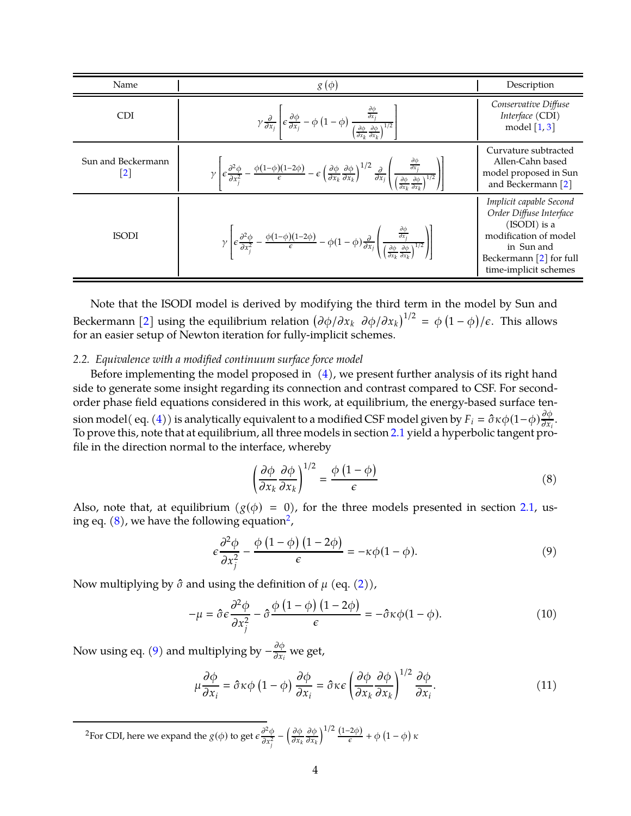| Name                                      | $g(\phi)$                                                                                                                                                                                                                                                                                                                                                                                               | Description                                                                                                                                                       |
|-------------------------------------------|---------------------------------------------------------------------------------------------------------------------------------------------------------------------------------------------------------------------------------------------------------------------------------------------------------------------------------------------------------------------------------------------------------|-------------------------------------------------------------------------------------------------------------------------------------------------------------------|
| <b>CDI</b>                                | $\gamma \frac{\partial}{\partial x_j} \left\{ \epsilon \frac{\partial \phi}{\partial x_j} - \phi \left( 1 - \phi \right) \frac{\frac{\partial \phi}{\partial x_j}}{\left( \frac{\partial \phi}{\partial x_k} \frac{\partial \phi}{\partial x_k} \right)^{1/2}} \right\}$                                                                                                                                | Conservative Diffuse<br>Interface (CDI)<br>model $\left[1, 3\right]$                                                                                              |
| Sun and Beckermann<br>$\lfloor 2 \rfloor$ | $\gamma \left[ \epsilon \frac{\partial^2 \phi}{\partial x_j^2} - \frac{\phi(1-\phi)(1-2\phi)}{\epsilon} - \epsilon \left( \frac{\partial \phi}{\partial x_k} \frac{\partial \phi}{\partial x_k} \right)^{1/2} \frac{\partial}{\partial x_j} \left( \frac{\frac{\partial \phi}{\partial x_j}}{\left(\frac{\partial \phi}{\partial x_k} \frac{\partial \phi}{\partial x_k}\right)^{1/2}} \right) \right]$ | Curvature subtracted<br>Allen-Cahn based<br>model proposed in Sun<br>and Beckermann [2]                                                                           |
| <b>ISODI</b>                              | $\gamma \left  \epsilon \frac{\partial^2 \phi}{\partial x_j^2} - \frac{\phi(1-\phi)(1-2\phi)}{\epsilon} - \phi(1-\phi) \frac{\partial}{\partial x_j} \left( \frac{\frac{\partial \phi}{\partial x_j}}{\left(\frac{\partial \phi}{\partial x_i} \frac{\partial \phi}{\partial x_j}\right)^{1/2}} \right) \right $                                                                                        | Implicit capable Second<br>Order Diffuse Interface<br>$(ISODI)$ is a<br>modification of model<br>in Sun and<br>Beckermann $[2]$ for full<br>time-implicit schemes |

Note that the ISODI model is derived by modifying the third term in the model by Sun and Beckermann [\[2\]](#page-8-1) using the equilibrium relation  $(\partial \phi/\partial x_k \, \partial \phi/\partial x_k)^{1/2} = \phi(1-\phi)/\epsilon$ . This allows for an easier setup of Newton iteration for fully-implicit schemes.

## <span id="page-3-4"></span>*2.2. Equivalence with a modified continuum surface force model*

Before implementing the model proposed in  $(4)$ , we present further analysis of its right hand side to generate some insight regarding its connection and contrast compared to CSF. For secondorder phase field equations considered in this work, at equilibrium, the energy-based surface ten-sion model( eq. [\(4\)](#page-1-2)) is analytically equivalent to a modified CSF model given by  $F_i=\hat{\sigma}\kappa\phi(1-\phi)\frac{\partial\phi}{\partial x_i}$  $\frac{\partial \varphi}{\partial x_i}$ . To prove this, note that at equilibrium, all three models in section [2.1](#page-2-1) yield a hyperbolic tangent profile in the direction normal to the interface, whereby

<span id="page-3-2"></span><span id="page-3-0"></span>
$$
\left(\frac{\partial \phi}{\partial x_k} \frac{\partial \phi}{\partial x_k}\right)^{1/2} = \frac{\phi (1 - \phi)}{\epsilon}
$$
\n(8)

Also, note that, at equilibrium ( $g(\phi) = 0$ ), for the three models presented in section [2.1,](#page-2-1) us-ing eq. [\(8\)](#page-3-0), we have the following equation<sup>[2](#page-3-1)</sup>,

$$
\epsilon \frac{\partial^2 \phi}{\partial x_j^2} - \frac{\phi (1 - \phi) (1 - 2\phi)}{\epsilon} = -\kappa \phi (1 - \phi). \tag{9}
$$

Now multiplying by  $\hat{\sigma}$  and using the definition of  $\mu$  (eq. [\(2\)](#page-1-1)),

$$
-\mu = \hat{\sigma}\epsilon \frac{\partial^2 \phi}{\partial x_j^2} - \hat{\sigma}\frac{\phi (1-\phi)(1-2\phi)}{\epsilon} = -\hat{\sigma}\kappa\phi(1-\phi). \tag{10}
$$

Now using eq. [\(9\)](#page-3-2) and multiplying by  $-\frac{\partial \phi}{\partial x_i}$  $\frac{\partial \varphi}{\partial x_i}$  we get,

<span id="page-3-3"></span>
$$
\mu \frac{\partial \phi}{\partial x_i} = \hat{\sigma} \kappa \phi \left( 1 - \phi \right) \frac{\partial \phi}{\partial x_i} = \hat{\sigma} \kappa \epsilon \left( \frac{\partial \phi}{\partial x_k} \frac{\partial \phi}{\partial x_k} \right)^{1/2} \frac{\partial \phi}{\partial x_i}.
$$
(11)

<span id="page-3-1"></span><sup>2</sup>For CDI, here we expand the  $g(\phi)$  to get  $\varepsilon \frac{\partial^2 \phi}{\partial x^2}$  $\frac{1}{\partial x_j^2}$  –  $\int \partial \phi$  $\partial x_k$ дф  $\partial x_k$  $\int_{0}^{1/2} \frac{(1-2\phi)}{\epsilon} + \phi \left(1 - \phi\right) \kappa$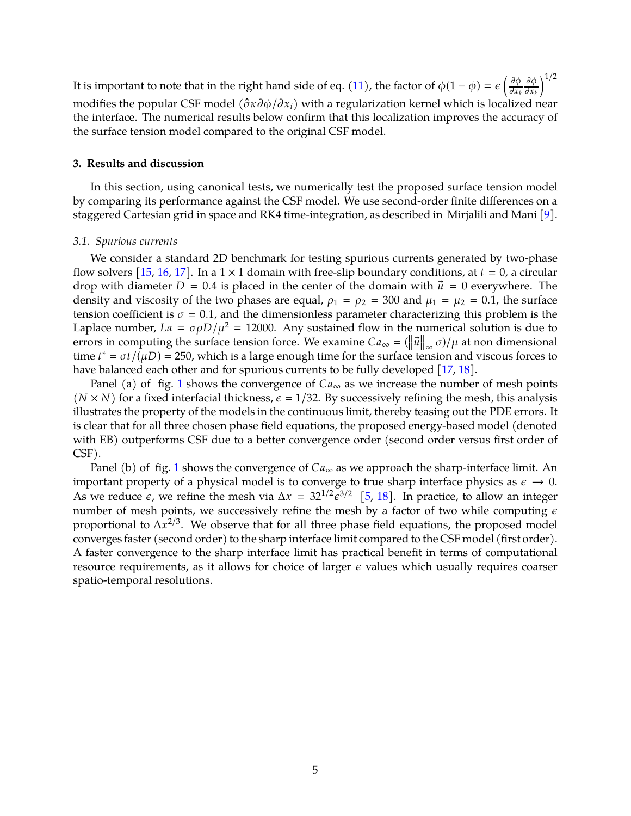It is important to note that in the right hand side of eq. [\(11\)](#page-3-3), the factor of  $\phi(1-\phi)=\epsilon\left(\frac{\partial\phi}{\partial x_k}\right)$  $\partial x_k$ дφ  $\partial x_k$  $1/2$ modifies the popular CSF model  $(\hat{\sigma} \kappa \partial \phi / \partial x_i)$  with a regularization kernel which is localized near the interface. The numerical results below confirm that this localization improves the accuracy of the surface tension model compared to the original CSF model.

# **3. Results and discussion**

In this section, using canonical tests, we numerically test the proposed surface tension model by comparing its performance against the CSF model. We use second-order finite differences on a staggered Cartesian grid in space and RK4 time-integration, as described in Mirjalili and Mani [\[9\]](#page-9-2).

## <span id="page-4-0"></span>*3.1. Spurious currents*

We consider a standard 2D benchmark for testing spurious currents generated by two-phase flow solvers [\[15](#page-9-8), [16,](#page-9-9) [17](#page-9-10)]. In a  $1 \times 1$  domain with free-slip boundary conditions, at  $t = 0$ , a circular drop with diameter  $D = 0.4$  is placed in the center of the domain with  $\vec{u} = 0$  everywhere. The density and viscosity of the two phases are equal,  $\rho_1 = \rho_2 = 300$  and  $\mu_1 = \mu_2 = 0.1$ , the surface tension coefficient is  $\sigma = 0.1$ , and the dimensionless parameter characterizing this problem is the Laplace number,  $La = \sigma \rho D/\mu^2 = 12000$ . Any sustained flow in the numerical solution is due to errors in computing the surface tension force. We examine  $Ca_{\infty} = (\|\vec{u}\|_{\infty} \sigma)/\mu$  at non dimensional time  $t^* = \sigma t / (\mu D) = 250$ , which is a large enough time for the surface tension and viscous forces to have balanced each other and for spurious currents to be fully developed [\[17,](#page-9-10) [18](#page-9-11)].

Panel (a) of fig. [1](#page-5-0) shows the convergence of  $Ca_{\infty}$  as we increase the number of mesh points  $(N \times N)$  for a fixed interfacial thickness,  $\epsilon = 1/32$ . By successively refining the mesh, this analysis illustrates the property of the models in the continuous limit, thereby teasing out the PDE errors. It is clear that for all three chosen phase field equations, the proposed energy-based model (denoted with EB) outperforms CSF due to a better convergence order (second order versus first order of CSF).

Panel (b) of fig. [1](#page-5-0) shows the convergence of  $Ca_{\infty}$  as we approach the sharp-interface limit. An important property of a physical model is to converge to true sharp interface physics as  $\epsilon \to 0$ . As we reduce  $\epsilon$ , we refine the mesh via  $\Delta x = 32^{1/2} \epsilon^{3/2}$  [\[5,](#page-8-4) [18\]](#page-9-11). In practice, to allow an integer number of mesh points, we successively refine the mesh by a factor of two while computing  $\epsilon$ proportional to  $\Delta x^{2/3}$ . We observe that for all three phase field equations, the proposed model converges faster (second order) to the sharp interface limit compared to the CSF model (first order). A faster convergence to the sharp interface limit has practical benefit in terms of computational resource requirements, as it allows for choice of larger  $\epsilon$  values which usually requires coarser spatio-temporal resolutions.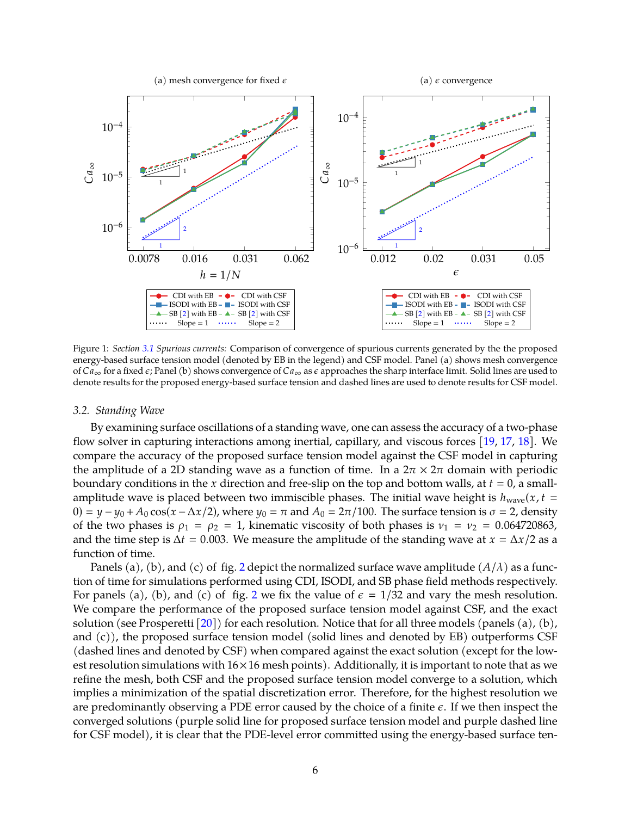

<span id="page-5-0"></span>Figure 1: *Section [3.1](#page-4-0) Spurious currents:* Comparison of convergence of spurious currents generated by the the proposed energy-based surface tension model (denoted by EB in the legend) and CSF model. Panel (a) shows mesh convergence of  $Ca_{\infty}$  for a fixed  $\epsilon$ ; Panel (b) shows convergence of  $Ca_{\infty}$  as  $\epsilon$  approaches the sharp interface limit. Solid lines are used to denote results for the proposed energy-based surface tension and dashed lines are used to denote results for CSF model.

#### <span id="page-5-1"></span>*3.2. Standing Wave*

By examining surface oscillations of a standing wave, one can assess the accuracy of a two-phase flow solver in capturing interactions among inertial, capillary, and viscous forces [\[19](#page-9-12), [17,](#page-9-10) [18\]](#page-9-11). We compare the accuracy of the proposed surface tension model against the CSF model in capturing the amplitude of a 2D standing wave as a function of time. In a  $2\pi \times 2\pi$  domain with periodic boundary conditions in the x direction and free-slip on the top and bottom walls, at  $t = 0$ , a smallamplitude wave is placed between two immiscible phases. The initial wave height is  $h_{\text{wave}}(x, t =$ 0) =  $y - y_0 + A_0 \cos(x - \Delta x/2)$ , where  $y_0 = \pi$  and  $A_0 = 2\pi/100$ . The surface tension is  $\sigma = 2$ , density of the two phases is  $\rho_1 = \rho_2 = 1$ , kinematic viscosity of both phases is  $v_1 = v_2 = 0.064720863$ , and the time step is  $\Delta t = 0.003$ . We measure the amplitude of the standing wave at  $x = \Delta x/2$  as a function of time.

Panels (a), (b), and (c) of fig. [2](#page-7-0) depict the normalized surface wave amplitude  $(A/\lambda)$  as a function of time for simulations performed using CDI, ISODI, and SB phase field methods respectively. For panels (a), (b), and (c) of fig. [2](#page-7-0) we fix the value of  $\epsilon = 1/32$  and vary the mesh resolution. We compare the performance of the proposed surface tension model against CSF, and the exact solution (see Prosperetti  $[20]$ ) for each resolution. Notice that for all three models (panels (a), (b), and (c)), the proposed surface tension model (solid lines and denoted by EB) outperforms CSF (dashed lines and denoted by CSF) when compared against the exact solution (except for the lowest resolution simulations with  $16 \times 16$  mesh points). Additionally, it is important to note that as we refine the mesh, both CSF and the proposed surface tension model converge to a solution, which implies a minimization of the spatial discretization error. Therefore, for the highest resolution we are predominantly observing a PDE error caused by the choice of a finite  $\epsilon$ . If we then inspect the converged solutions (purple solid line for proposed surface tension model and purple dashed line for CSF model), it is clear that the PDE-level error committed using the energy-based surface ten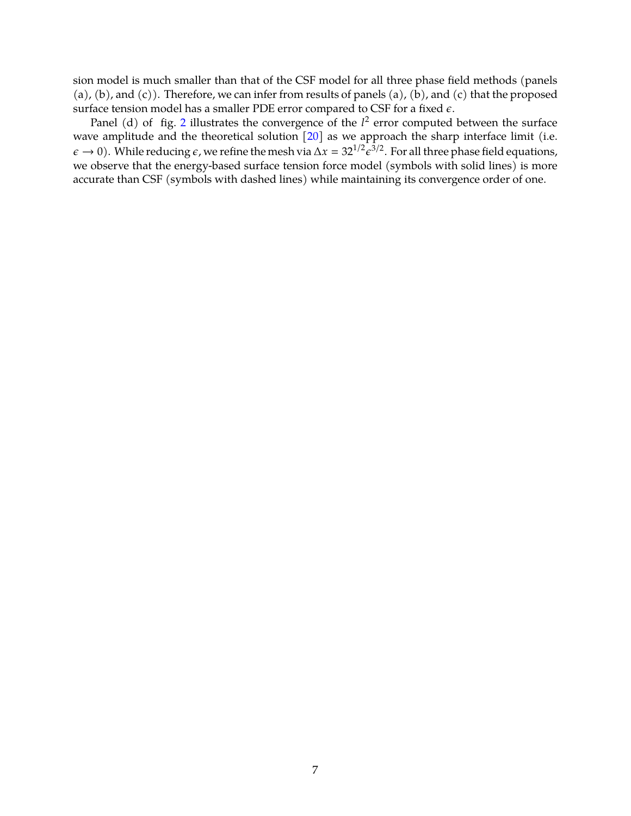sion model is much smaller than that of the CSF model for all three phase field methods (panels (a), (b), and (c)). Therefore, we can infer from results of panels (a), (b), and (c) that the proposed surface tension model has a smaller PDE error compared to CSF for a fixed  $\epsilon$ .

Panel (d) of fig. [2](#page-7-0) illustrates the convergence of the  $l^2$  error computed between the surface wave amplitude and the theoretical solution [\[20](#page-9-13)] as we approach the sharp interface limit (i.e.  $\epsilon \to 0$ ). While reducing  $\epsilon$ , we refine the mesh via  $\Delta x = 32^{1/2} \epsilon^{3/2}$ . For all three phase field equations, we observe that the energy-based surface tension force model (symbols with solid lines) is more accurate than CSF (symbols with dashed lines) while maintaining its convergence order of one.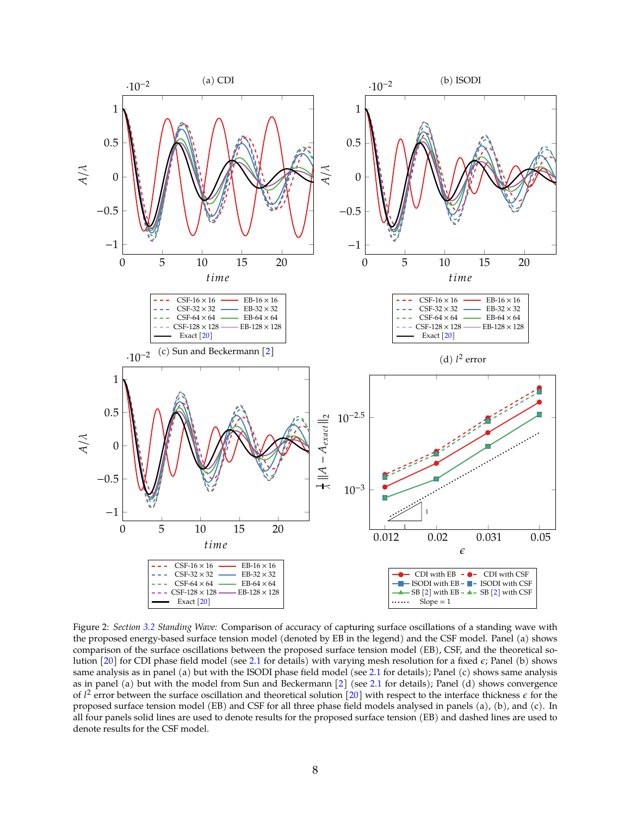

<span id="page-7-0"></span>Figure 2: *Section [3.2](#page-5-1) Standing Wave:* Comparison of accuracy of capturing surface oscillations of a standing wave with the proposed energy-based surface tension model (denoted by EB in the legend) and the CSF model. Panel (a) shows comparison of the surface oscillations between the proposed surface tension model (EB), CSF, and the theoretical solution  $[20]$  for CDI phase field model (see [2.1](#page-2-1) for details) with varying mesh resolution for a fixed  $\epsilon$ ; Panel (b) shows same analysis as in panel (a) but with the ISODI phase field model (see [2.1](#page-2-1) for details); Panel (c) shows same analysis as in panel (a) but with the model from Sun and Beckermann [\[2](#page-8-1)] (see [2.1](#page-2-1) for details); Panel (d) shows convergence of  $l^2$  error between the surface oscillation and theoretical solution [\[20](#page-9-13)] with respect to the interface thickness  $\epsilon$  for the proposed surface tension model (EB) and CSF for all three phase field models analysed in panels (a), (b), and (c). In all four panels solid lines are used to denote results for the proposed surface tension (EB) and dashed lines are used to denote results for the CSF model.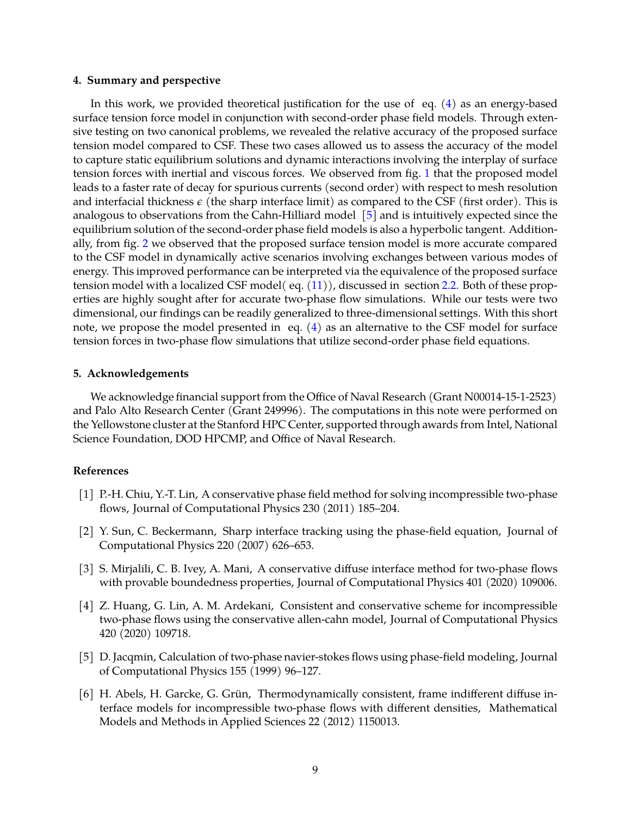#### **4. Summary and perspective**

In this work, we provided theoretical justification for the use of eq.  $(4)$  as an energy-based surface tension force model in conjunction with second-order phase field models. Through extensive testing on two canonical problems, we revealed the relative accuracy of the proposed surface tension model compared to CSF. These two cases allowed us to assess the accuracy of the model to capture static equilibrium solutions and dynamic interactions involving the interplay of surface tension forces with inertial and viscous forces. We observed from fig. [1](#page-5-0) that the proposed model leads to a faster rate of decay for spurious currents (second order) with respect to mesh resolution and interfacial thickness  $\epsilon$  (the sharp interface limit) as compared to the CSF (first order). This is analogous to observations from the Cahn-Hilliard model [\[5](#page-8-4)] and is intuitively expected since the equilibrium solution of the second-order phase field models is also a hyperbolic tangent. Additionally, from fig. [2](#page-7-0) we observed that the proposed surface tension model is more accurate compared to the CSF model in dynamically active scenarios involving exchanges between various modes of energy. This improved performance can be interpreted via the equivalence of the proposed surface tension model with a localized CSF model( eq. [\(11\)](#page-3-3)), discussed in section [2.2.](#page-3-4) Both of these properties are highly sought after for accurate two-phase flow simulations. While our tests were two dimensional, our findings can be readily generalized to three-dimensional settings. With this short note, we propose the model presented in eq. [\(4\)](#page-1-2) as an alternative to the CSF model for surface tension forces in two-phase flow simulations that utilize second-order phase field equations.

# **5. Acknowledgements**

We acknowledge financial support from the Office of Naval Research (Grant N00014-15-1-2523) and Palo Alto Research Center (Grant 249996). The computations in this note were performed on the Yellowstone cluster at the Stanford HPC Center, supported through awards from Intel, National Science Foundation, DOD HPCMP, and Office of Naval Research.

# **References**

- <span id="page-8-0"></span>[1] P.-H. Chiu, Y.-T. Lin, A conservative phase field method for solving incompressible two-phase flows, Journal of Computational Physics 230 (2011) 185–204.
- <span id="page-8-1"></span>[2] Y. Sun, C. Beckermann, Sharp interface tracking using the phase-field equation, Journal of Computational Physics 220 (2007) 626–653.
- <span id="page-8-2"></span>[3] S. Mirjalili, C. B. Ivey, A. Mani, A conservative diffuse interface method for two-phase flows with provable boundedness properties, Journal of Computational Physics 401 (2020) 109006.
- <span id="page-8-3"></span>[4] Z. Huang, G. Lin, A. M. Ardekani, Consistent and conservative scheme for incompressible two-phase flows using the conservative allen-cahn model, Journal of Computational Physics 420 (2020) 109718.
- <span id="page-8-4"></span>[5] D. Jacqmin, Calculation of two-phase navier-stokes flows using phase-field modeling, Journal of Computational Physics 155 (1999) 96–127.
- <span id="page-8-5"></span> $[6]$  H. Abels, H. Garcke, G. Grün, Thermodynamically consistent, frame indifferent diffuse interface models for incompressible two-phase flows with different densities, Mathematical Models and Methods in Applied Sciences 22 (2012) 1150013.